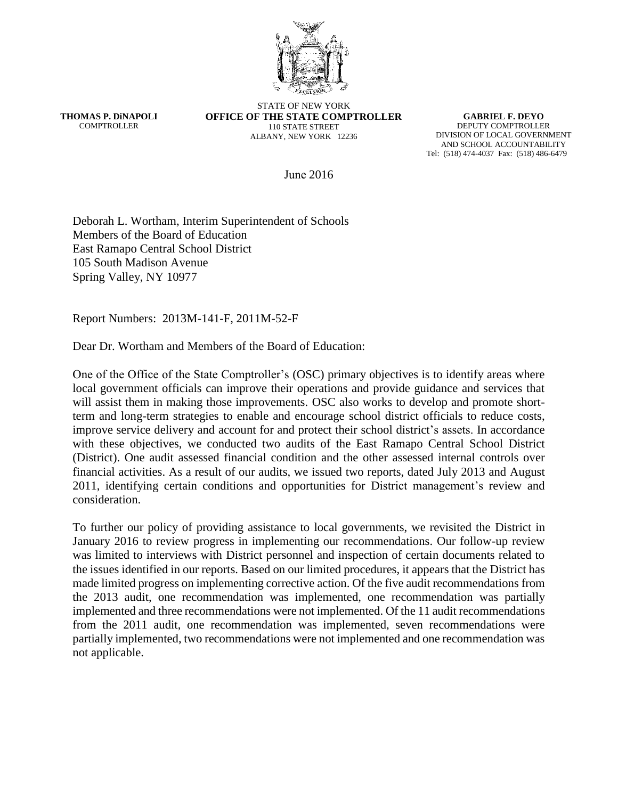

**THOMAS P. DiNAPOLI COMPTROLLER** 

STATE OF NEW YORK **OFFICE OF THE STATE COMPTROLLER** 110 STATE STREET ALBANY, NEW YORK 12236

**GABRIEL F. DEYO** DEPUTY COMPTROLLER DIVISION OF LOCAL GOVERNMENT AND SCHOOL ACCOUNTABILITY Tel: (518) 474-4037 Fax: (518) 486-6479

June 2016

Deborah L. Wortham, Interim Superintendent of Schools Members of the Board of Education East Ramapo Central School District 105 South Madison Avenue Spring Valley, NY 10977

Report Numbers: 2013M-141-F, 2011M-52-F

Dear Dr. Wortham and Members of the Board of Education:

One of the Office of the State Comptroller's (OSC) primary objectives is to identify areas where local government officials can improve their operations and provide guidance and services that will assist them in making those improvements. OSC also works to develop and promote shortterm and long-term strategies to enable and encourage school district officials to reduce costs, improve service delivery and account for and protect their school district's assets. In accordance with these objectives, we conducted two audits of the East Ramapo Central School District (District). One audit assessed financial condition and the other assessed internal controls over financial activities. As a result of our audits, we issued two reports, dated July 2013 and August 2011, identifying certain conditions and opportunities for District management's review and consideration.

To further our policy of providing assistance to local governments, we revisited the District in January 2016 to review progress in implementing our recommendations. Our follow-up review was limited to interviews with District personnel and inspection of certain documents related to the issues identified in our reports. Based on our limited procedures, it appears that the District has made limited progress on implementing corrective action. Of the five audit recommendations from the 2013 audit, one recommendation was implemented, one recommendation was partially implemented and three recommendations were not implemented. Of the 11 audit recommendations from the 2011 audit, one recommendation was implemented, seven recommendations were partially implemented, two recommendations were not implemented and one recommendation was not applicable.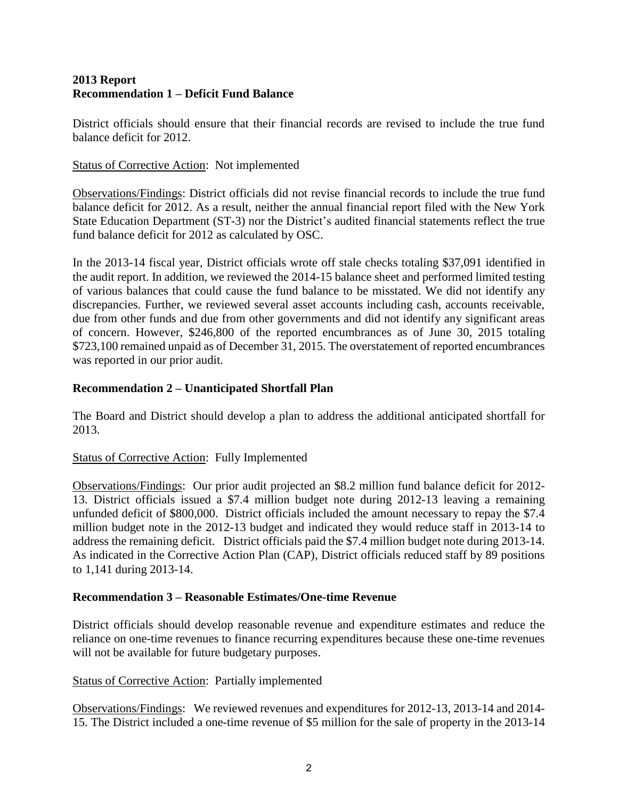### **2013 Report Recommendation 1 – Deficit Fund Balance**

District officials should ensure that their financial records are revised to include the true fund balance deficit for 2012.

Status of Corrective Action: Not implemented

Observations/Findings: District officials did not revise financial records to include the true fund balance deficit for 2012. As a result, neither the annual financial report filed with the New York State Education Department (ST-3) nor the District's audited financial statements reflect the true fund balance deficit for 2012 as calculated by OSC.

In the 2013-14 fiscal year, District officials wrote off stale checks totaling \$37,091 identified in the audit report. In addition, we reviewed the 2014-15 balance sheet and performed limited testing of various balances that could cause the fund balance to be misstated. We did not identify any discrepancies. Further, we reviewed several asset accounts including cash, accounts receivable, due from other funds and due from other governments and did not identify any significant areas of concern. However, \$246,800 of the reported encumbrances as of June 30, 2015 totaling \$723,100 remained unpaid as of December 31, 2015. The overstatement of reported encumbrances was reported in our prior audit.

## **Recommendation 2 – Unanticipated Shortfall Plan**

The Board and District should develop a plan to address the additional anticipated shortfall for 2013.

## Status of Corrective Action: Fully Implemented

Observations/Findings: Our prior audit projected an \$8.2 million fund balance deficit for 2012- 13. District officials issued a \$7.4 million budget note during 2012-13 leaving a remaining unfunded deficit of \$800,000. District officials included the amount necessary to repay the \$7.4 million budget note in the 2012-13 budget and indicated they would reduce staff in 2013-14 to address the remaining deficit. District officials paid the \$7.4 million budget note during 2013-14. As indicated in the Corrective Action Plan (CAP), District officials reduced staff by 89 positions to 1,141 during 2013-14.

## **Recommendation 3 – Reasonable Estimates/One-time Revenue**

District officials should develop reasonable revenue and expenditure estimates and reduce the reliance on one-time revenues to finance recurring expenditures because these one-time revenues will not be available for future budgetary purposes.

Status of Corrective Action: Partially implemented

Observations/Findings: We reviewed revenues and expenditures for 2012-13, 2013-14 and 2014- 15. The District included a one-time revenue of \$5 million for the sale of property in the 2013-14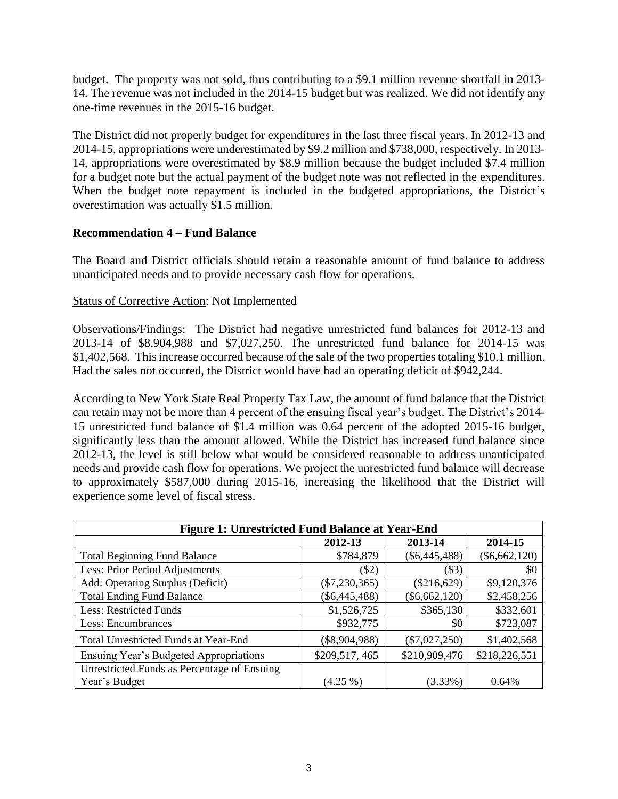budget. The property was not sold, thus contributing to a \$9.1 million revenue shortfall in 2013- 14. The revenue was not included in the 2014-15 budget but was realized. We did not identify any one-time revenues in the 2015-16 budget.

The District did not properly budget for expenditures in the last three fiscal years. In 2012-13 and 2014-15, appropriations were underestimated by \$9.2 million and \$738,000, respectively. In 2013- 14, appropriations were overestimated by \$8.9 million because the budget included \$7.4 million for a budget note but the actual payment of the budget note was not reflected in the expenditures. When the budget note repayment is included in the budgeted appropriations, the District's overestimation was actually \$1.5 million.

### **Recommendation 4 – Fund Balance**

The Board and District officials should retain a reasonable amount of fund balance to address unanticipated needs and to provide necessary cash flow for operations.

### Status of Corrective Action: Not Implemented

Observations/Findings: The District had negative unrestricted fund balances for 2012-13 and 2013-14 of \$8,904,988 and \$7,027,250. The unrestricted fund balance for 2014-15 was \$1,402,568. This increase occurred because of the sale of the two properties totaling \$10.1 million. Had the sales not occurred, the District would have had an operating deficit of \$942,244.

According to New York State Real Property Tax Law, the amount of fund balance that the District can retain may not be more than 4 percent of the ensuing fiscal year's budget. The District's 2014- 15 unrestricted fund balance of \$1.4 million was 0.64 percent of the adopted 2015-16 budget, significantly less than the amount allowed. While the District has increased fund balance since 2012-13, the level is still below what would be considered reasonable to address unanticipated needs and provide cash flow for operations. We project the unrestricted fund balance will decrease to approximately \$587,000 during 2015-16, increasing the likelihood that the District will experience some level of fiscal stress.

| <b>Figure 1: Unrestricted Fund Balance at Year-End</b> |                 |                 |                 |
|--------------------------------------------------------|-----------------|-----------------|-----------------|
|                                                        | 2012-13         | 2013-14         | 2014-15         |
| <b>Total Beginning Fund Balance</b>                    | \$784,879       | $(\$6,445,488)$ | $(\$6,662,120)$ |
| Less: Prior Period Adjustments                         | $(\$2)$         | (S3)            | \$0             |
| Add: Operating Surplus (Deficit)                       | $(\$7,230,365)$ | (\$216,629)     | \$9,120,376     |
| <b>Total Ending Fund Balance</b>                       | $(\$6,445,488)$ | $(\$6,662,120)$ | \$2,458,256     |
| <b>Less: Restricted Funds</b>                          | \$1,526,725     | \$365,130       | \$332,601       |
| Less: Encumbrances                                     | \$932,775       | \$0             | \$723,087       |
| <b>Total Unrestricted Funds at Year-End</b>            | $(\$8,904,988)$ | $(\$7,027,250)$ | \$1,402,568     |
| <b>Ensuing Year's Budgeted Appropriations</b>          | \$209,517,465   | \$210,909,476   | \$218,226,551   |
| Unrestricted Funds as Percentage of Ensuing            |                 |                 |                 |
| Year's Budget                                          | $(4.25\%)$      | $(3.33\%)$      | 0.64%           |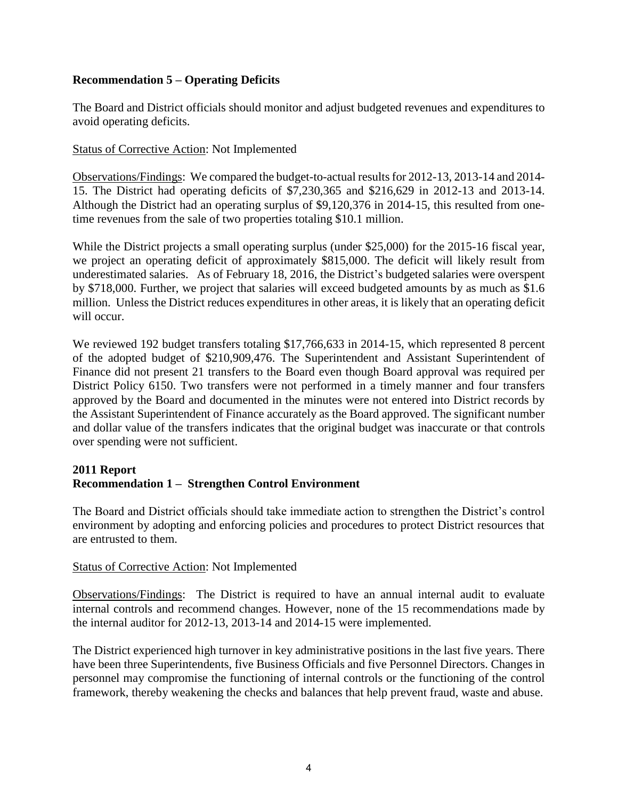## **Recommendation 5 – Operating Deficits**

The Board and District officials should monitor and adjust budgeted revenues and expenditures to avoid operating deficits.

#### Status of Corrective Action: Not Implemented

Observations/Findings: We compared the budget-to-actual results for 2012-13, 2013-14 and 2014- 15. The District had operating deficits of \$7,230,365 and \$216,629 in 2012-13 and 2013-14. Although the District had an operating surplus of \$9,120,376 in 2014-15, this resulted from onetime revenues from the sale of two properties totaling \$10.1 million.

While the District projects a small operating surplus (under \$25,000) for the 2015-16 fiscal year, we project an operating deficit of approximately \$815,000. The deficit will likely result from underestimated salaries. As of February 18, 2016, the District's budgeted salaries were overspent by \$718,000. Further, we project that salaries will exceed budgeted amounts by as much as \$1.6 million. Unless the District reduces expenditures in other areas, it is likely that an operating deficit will occur.

We reviewed 192 budget transfers totaling \$17,766,633 in 2014-15, which represented 8 percent of the adopted budget of \$210,909,476. The Superintendent and Assistant Superintendent of Finance did not present 21 transfers to the Board even though Board approval was required per District Policy 6150. Two transfers were not performed in a timely manner and four transfers approved by the Board and documented in the minutes were not entered into District records by the Assistant Superintendent of Finance accurately as the Board approved. The significant number and dollar value of the transfers indicates that the original budget was inaccurate or that controls over spending were not sufficient.

### **2011 Report Recommendation 1 – Strengthen Control Environment**

The Board and District officials should take immediate action to strengthen the District's control environment by adopting and enforcing policies and procedures to protect District resources that are entrusted to them.

#### Status of Corrective Action: Not Implemented

Observations/Findings: The District is required to have an annual internal audit to evaluate internal controls and recommend changes. However, none of the 15 recommendations made by the internal auditor for 2012-13, 2013-14 and 2014-15 were implemented.

The District experienced high turnover in key administrative positions in the last five years. There have been three Superintendents, five Business Officials and five Personnel Directors. Changes in personnel may compromise the functioning of internal controls or the functioning of the control framework, thereby weakening the checks and balances that help prevent fraud, waste and abuse.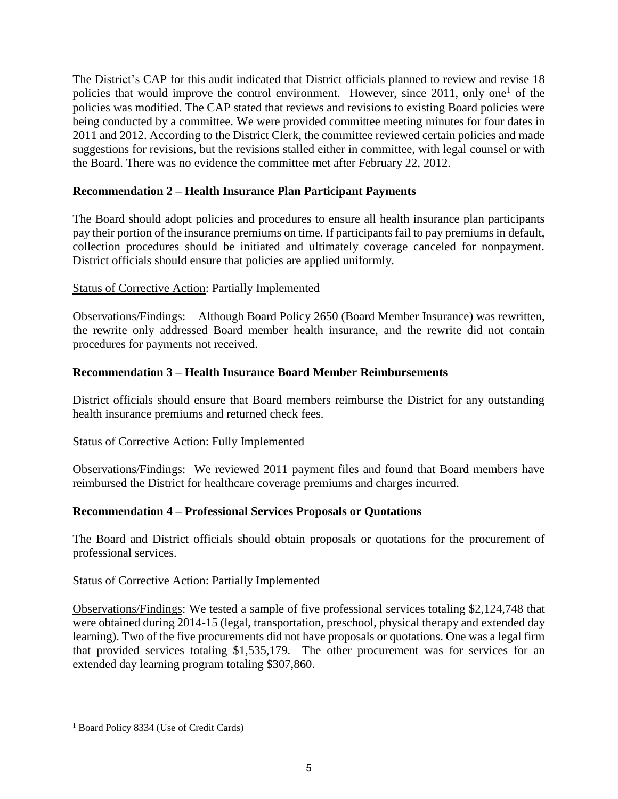The District's CAP for this audit indicated that District officials planned to review and revise 18 policies that would improve the control environment. However, since 2011, only one<sup>1</sup> of the policies was modified. The CAP stated that reviews and revisions to existing Board policies were being conducted by a committee. We were provided committee meeting minutes for four dates in 2011 and 2012. According to the District Clerk, the committee reviewed certain policies and made suggestions for revisions, but the revisions stalled either in committee, with legal counsel or with the Board. There was no evidence the committee met after February 22, 2012.

## **Recommendation 2 – Health Insurance Plan Participant Payments**

The Board should adopt policies and procedures to ensure all health insurance plan participants pay their portion of the insurance premiums on time. If participants fail to pay premiums in default, collection procedures should be initiated and ultimately coverage canceled for nonpayment. District officials should ensure that policies are applied uniformly.

# Status of Corrective Action: Partially Implemented

Observations/Findings: Although Board Policy 2650 (Board Member Insurance) was rewritten, the rewrite only addressed Board member health insurance, and the rewrite did not contain procedures for payments not received.

# **Recommendation 3 – Health Insurance Board Member Reimbursements**

District officials should ensure that Board members reimburse the District for any outstanding health insurance premiums and returned check fees.

## Status of Corrective Action: Fully Implemented

Observations/Findings: We reviewed 2011 payment files and found that Board members have reimbursed the District for healthcare coverage premiums and charges incurred.

## **Recommendation 4 – Professional Services Proposals or Quotations**

The Board and District officials should obtain proposals or quotations for the procurement of professional services.

## Status of Corrective Action: Partially Implemented

Observations/Findings: We tested a sample of five professional services totaling \$2,124,748 that were obtained during 2014-15 (legal, transportation, preschool, physical therapy and extended day learning). Two of the five procurements did not have proposals or quotations. One was a legal firm that provided services totaling \$1,535,179. The other procurement was for services for an extended day learning program totaling \$307,860.

 1 Board Policy 8334 (Use of Credit Cards)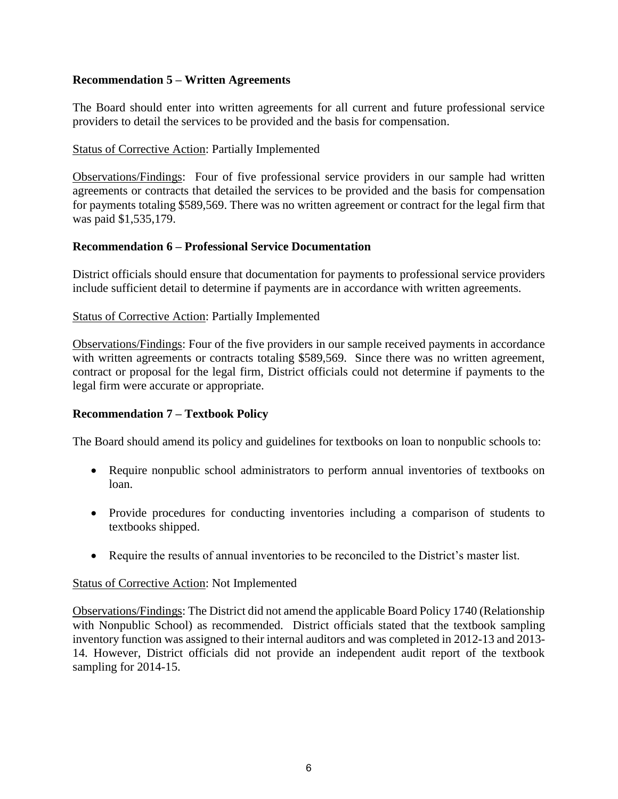## **Recommendation 5 – Written Agreements**

The Board should enter into written agreements for all current and future professional service providers to detail the services to be provided and the basis for compensation.

### Status of Corrective Action: Partially Implemented

Observations/Findings: Four of five professional service providers in our sample had written agreements or contracts that detailed the services to be provided and the basis for compensation for payments totaling \$589,569. There was no written agreement or contract for the legal firm that was paid \$1,535,179.

#### **Recommendation 6 – Professional Service Documentation**

District officials should ensure that documentation for payments to professional service providers include sufficient detail to determine if payments are in accordance with written agreements.

### Status of Corrective Action: Partially Implemented

Observations/Findings: Four of the five providers in our sample received payments in accordance with written agreements or contracts totaling \$589,569. Since there was no written agreement, contract or proposal for the legal firm, District officials could not determine if payments to the legal firm were accurate or appropriate.

#### **Recommendation 7 – Textbook Policy**

The Board should amend its policy and guidelines for textbooks on loan to nonpublic schools to:

- Require nonpublic school administrators to perform annual inventories of textbooks on loan.
- Provide procedures for conducting inventories including a comparison of students to textbooks shipped.
- Require the results of annual inventories to be reconciled to the District's master list.

#### Status of Corrective Action: Not Implemented

Observations/Findings: The District did not amend the applicable Board Policy 1740 (Relationship with Nonpublic School) as recommended. District officials stated that the textbook sampling inventory function was assigned to their internal auditors and was completed in 2012-13 and 2013- 14. However, District officials did not provide an independent audit report of the textbook sampling for 2014-15.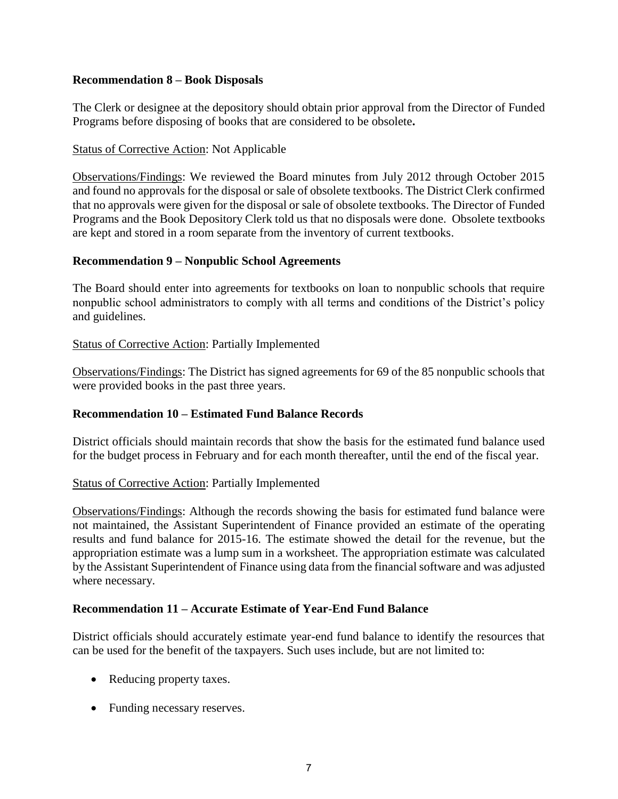### **Recommendation 8 – Book Disposals**

The Clerk or designee at the depository should obtain prior approval from the Director of Funded Programs before disposing of books that are considered to be obsolete**.**

## Status of Corrective Action: Not Applicable

Observations/Findings: We reviewed the Board minutes from July 2012 through October 2015 and found no approvals for the disposal or sale of obsolete textbooks. The District Clerk confirmed that no approvals were given for the disposal or sale of obsolete textbooks. The Director of Funded Programs and the Book Depository Clerk told us that no disposals were done. Obsolete textbooks are kept and stored in a room separate from the inventory of current textbooks.

#### **Recommendation 9 – Nonpublic School Agreements**

The Board should enter into agreements for textbooks on loan to nonpublic schools that require nonpublic school administrators to comply with all terms and conditions of the District's policy and guidelines.

### Status of Corrective Action: Partially Implemented

Observations/Findings: The District has signed agreements for 69 of the 85 nonpublic schools that were provided books in the past three years.

#### **Recommendation 10 – Estimated Fund Balance Records**

District officials should maintain records that show the basis for the estimated fund balance used for the budget process in February and for each month thereafter, until the end of the fiscal year.

#### Status of Corrective Action: Partially Implemented

Observations/Findings: Although the records showing the basis for estimated fund balance were not maintained, the Assistant Superintendent of Finance provided an estimate of the operating results and fund balance for 2015-16. The estimate showed the detail for the revenue, but the appropriation estimate was a lump sum in a worksheet. The appropriation estimate was calculated by the Assistant Superintendent of Finance using data from the financial software and was adjusted where necessary.

#### **Recommendation 11 – Accurate Estimate of Year-End Fund Balance**

District officials should accurately estimate year-end fund balance to identify the resources that can be used for the benefit of the taxpayers. Such uses include, but are not limited to:

- Reducing property taxes.
- Funding necessary reserves.